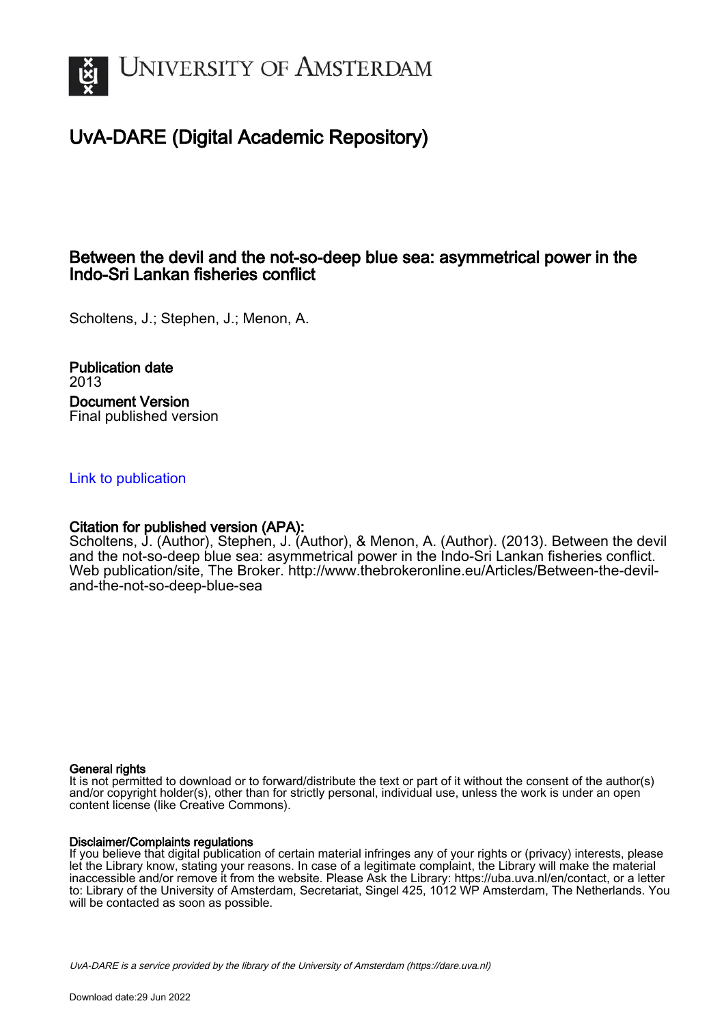

### UvA-DARE (Digital Academic Repository)

### Between the devil and the not-so-deep blue sea: asymmetrical power in the Indo-Sri Lankan fisheries conflict

Scholtens, J.; Stephen, J.; Menon, A.

Publication date 2013 Document Version Final published version

#### [Link to publication](https://dare.uva.nl/personal/pure/en/publications/between-the-devil-and-the-notsodeep-blue-sea-asymmetrical-power-in-the-indosri-lankan-fisheries-conflict(ee437b49-b2c1-4192-b67c-29ada247d0e7).html)

#### Citation for published version (APA):

Scholtens, J. (Author), Stephen, J. (Author), & Menon, A. (Author). (2013). Between the devil and the not-so-deep blue sea: asymmetrical power in the Indo-Sri Lankan fisheries conflict. Web publication/site, The Broker. [http://www.thebrokeronline.eu/Articles/Between-the-devil](http://www.thebrokeronline.eu/Articles/Between-the-devil-and-the-not-so-deep-blue-sea)[and-the-not-so-deep-blue-sea](http://www.thebrokeronline.eu/Articles/Between-the-devil-and-the-not-so-deep-blue-sea)

#### General rights

It is not permitted to download or to forward/distribute the text or part of it without the consent of the author(s) and/or copyright holder(s), other than for strictly personal, individual use, unless the work is under an open content license (like Creative Commons).

#### Disclaimer/Complaints regulations

If you believe that digital publication of certain material infringes any of your rights or (privacy) interests, please let the Library know, stating your reasons. In case of a legitimate complaint, the Library will make the material inaccessible and/or remove it from the website. Please Ask the Library: https://uba.uva.nl/en/contact, or a letter to: Library of the University of Amsterdam, Secretariat, Singel 425, 1012 WP Amsterdam, The Netherlands. You will be contacted as soon as possible.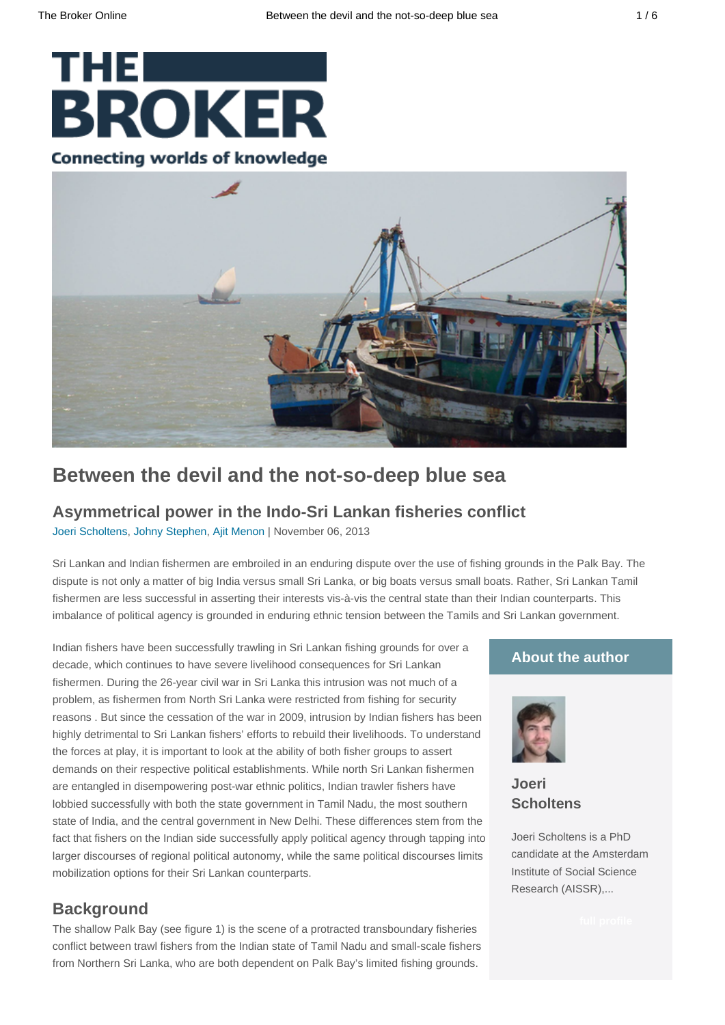# **THE THE BROKER Connecting worlds of knowledge**



## **Between the devil and the not-so-deep blue sea**

### **Asymmetrical power in the Indo-Sri Lankan fisheries conflict**

[Joeri Scholtens,](http://www.thebrokeronline.eu/Authors/Scholtens-Joeri) [Johny Stephen,](http://www.thebrokeronline.eu/Authors/Stephen-Johny) [Ajit Menon](http://www.thebrokeronline.eu/Authors/Menon-Ajit) | November 06, 2013

Sri Lankan and Indian fishermen are embroiled in an enduring dispute over the use of fishing grounds in the Palk Bay. The dispute is not only a matter of big India versus small Sri Lanka, or big boats versus small boats. Rather, Sri Lankan Tamil fishermen are less successful in asserting their interests vis-à-vis the central state than their Indian counterparts. This imbalance of political agency is grounded in enduring ethnic tension between the Tamils and Sri Lankan government.

Indian fishers have been successfully trawling in Sri Lankan fishing grounds for over a decade, which continues to have severe livelihood consequences for Sri Lankan fishermen. During the 26-year civil war in Sri Lanka this intrusion was not much of a problem, as fishermen from North Sri Lanka were restricted from fishing for security reasons . But since the cessation of the war in 2009, intrusion by Indian fishers has been highly detrimental to Sri Lankan fishers' efforts to rebuild their livelihoods. To understand the forces at play, it is important to look at the ability of both fisher groups to assert demands on their respective political establishments. While north Sri Lankan fishermen are entangled in disempowering post-war ethnic politics, Indian trawler fishers have lobbied successfully with both the state government in Tamil Nadu, the most southern state of India, and the central government in New Delhi. These differences stem from the fact that fishers on the Indian side successfully apply political agency through tapping into larger discourses of regional political autonomy, while the same political discourses limits mobilization options for their Sri Lankan counterparts.

### **Background**

The shallow Palk Bay (see figure 1) is the scene of a protracted transboundary fisheries conflict between trawl fishers from the Indian state of Tamil Nadu and small-scale fishers from Northern Sri Lanka, who are both dependent on Palk Bay's limited fishing grounds.

#### **About the author**



**[Joeri](http://www.thebrokeronline.eu/Authors/Scholtens-Joeri) [Scholtens](http://www.thebrokeronline.eu/Authors/Scholtens-Joeri)**

Joeri Scholtens is a PhD candidate at the Amsterdam Institute of Social Science Research (AISSR),...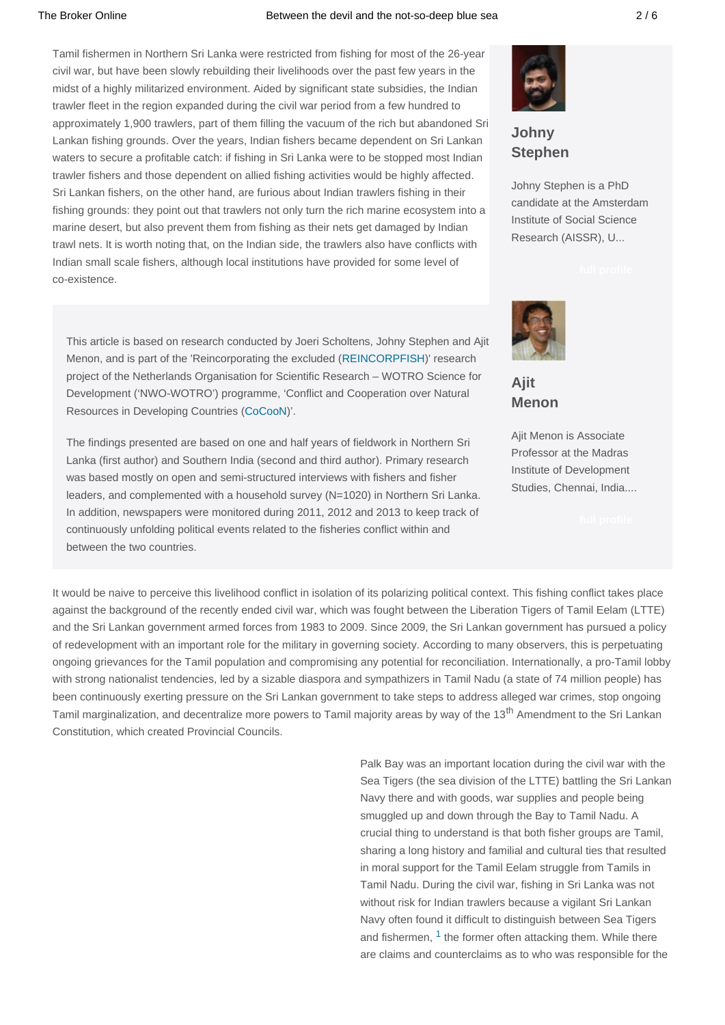#### The Broker Online **Broker Conservent Conserverse Between** the devil and the not-so-deep blue sea **1996** 2/6

Tamil fishermen in Northern Sri Lanka were restricted from fishing for most of the 26-year civil war, but have been slowly rebuilding their livelihoods over the past few years in the midst of a highly militarized environment. Aided by significant state subsidies, the Indian trawler fleet in the region expanded during the civil war period from a few hundred to approximately 1,900 trawlers, part of them filling the vacuum of the rich but abandoned Sri Lankan fishing grounds. Over the years, Indian fishers became dependent on Sri Lankan waters to secure a profitable catch: if fishing in Sri Lanka were to be stopped most Indian trawler fishers and those dependent on allied fishing activities would be highly affected. Sri Lankan fishers, on the other hand, are furious about Indian trawlers fishing in their fishing grounds: they point out that trawlers not only turn the rich marine ecosystem into a marine desert, but also prevent them from fishing as their nets get damaged by Indian trawl nets. It is worth noting that, on the Indian side, the trawlers also have conflicts with Indian small scale fishers, although local institutions have provided for some level of co-existence.

This article is based on research conducted by Joeri Scholtens, Johny Stephen and Ajit Menon, and is part of the 'Reincorporating the excluded ([REINCORPFISH](http://www.nwo.nl/en/research-and-results/programmes/Conflict+and+Cooperation+over+Natural+Resources+in+Developing+Countries+(CoCooN)/Project+Dr+Bavinck))' research project of the Netherlands Organisation for Scientific Research – WOTRO Science for Development ('NWO-WOTRO') programme, 'Conflict and Cooperation over Natural Resources in Developing Countries ([CoCooN\)](http://www.nwo.nl/en/research-and-results/programmes/Conflict+and+Cooperation+over+Natural+Resources+in+Developing+Countries+(CoCooN)/Project+Overview)'.

The findings presented are based on one and half years of fieldwork in Northern Sri Lanka (first author) and Southern India (second and third author). Primary research was based mostly on open and semi-structured interviews with fishers and fisher leaders, and complemented with a household survey (N=1020) in Northern Sri Lanka. In addition, newspapers were monitored during 2011, 2012 and 2013 to keep track of continuously unfolding political events related to the fisheries conflict within and between the two countries.



### **[Johny](http://www.thebrokeronline.eu/Authors/Stephen-Johny) [Stephen](http://www.thebrokeronline.eu/Authors/Stephen-Johny)**

Johny Stephen is a PhD candidate at the Amsterdam Institute of Social Science Research (AISSR), U...



**[Ajit](http://www.thebrokeronline.eu/Authors/Menon-Ajit) [Menon](http://www.thebrokeronline.eu/Authors/Menon-Ajit)**

Ajit Menon is Associate Professor at the Madras Institute of Development Studies, Chennai, India....

It would be naive to perceive this livelihood conflict in isolation of its polarizing political context. This fishing conflict takes place against the background of the recently ended civil war, which was fought between the Liberation Tigers of Tamil Eelam (LTTE) and the Sri Lankan government armed forces from 1983 to 2009. Since 2009, the Sri Lankan government has pursued a policy of redevelopment with an important role for the military in governing society. According to many observers, this is perpetuating ongoing grievances for the Tamil population and compromising any potential for reconciliation. Internationally, a pro-Tamil lobby with strong nationalist tendencies, led by a sizable diaspora and sympathizers in Tamil Nadu (a state of 74 million people) has been continuously exerting pressure on the Sri Lankan government to take steps to address alleged war crimes, stop ongoing Tamil marginalization, and decentralize more powers to Tamil majority areas by way of the 13<sup>th</sup> Amendment to the Sri Lankan Constitution, which created Provincial Councils.

> Palk Bay was an important location during the civil war with the Sea Tigers (the sea division of the LTTE) battling the Sri Lankan Navy there and with goods, war supplies and people being smuggled up and down through the Bay to Tamil Nadu. A crucial thing to understand is that both fisher groups are Tamil, sharing a long history and familial and cultural ties that resulted in moral support for the Tamil Eelam struggle from Tamils in Tamil Nadu. During the civil war, fishing in Sri Lanka was not without risk for Indian trawlers because a vigilant Sri Lankan Navy often found it difficult to distinguish between Sea Tigers and fishermen,  $1$  the former often attacking them. While there are claims and counterclaims as to who was responsible for the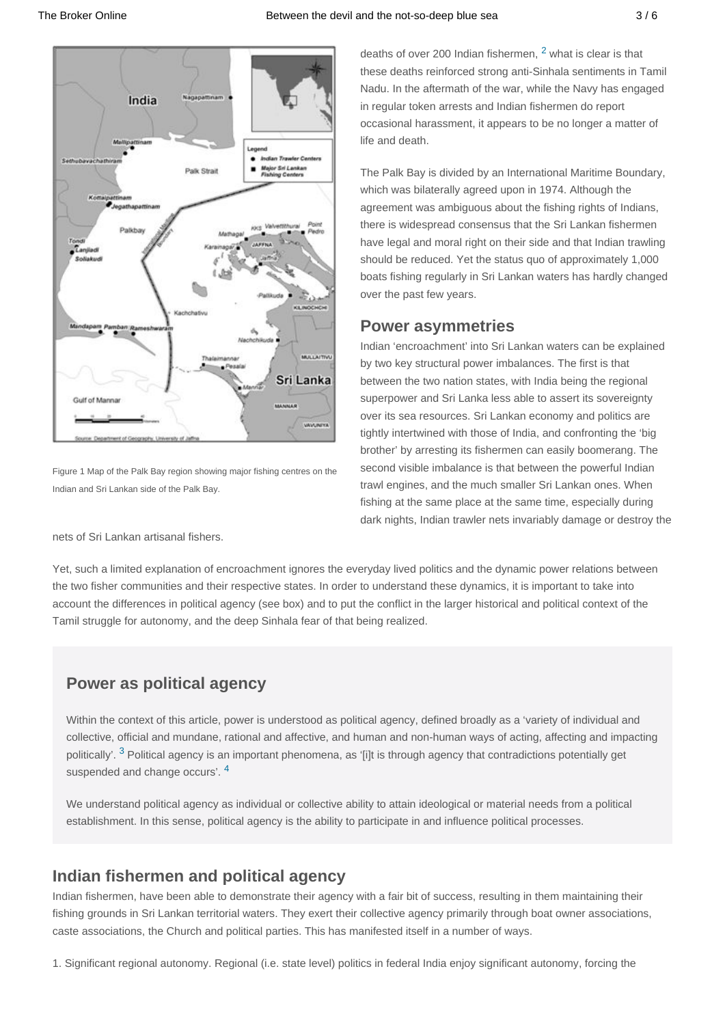

Figure 1 Map of the Palk Bay region showing major fishing centres on the Indian and Sri Lankan side of the Palk Bay.

nets of Sri Lankan artisanal fishers.

deaths of over [2](http://www.thebrokeronline.eu/#f2)00 Indian fishermen,  $2$  what is clear is that these deaths reinforced strong anti-Sinhala sentiments in Tamil Nadu. In the aftermath of the war, while the Navy has engaged in regular token arrests and Indian fishermen do report occasional harassment, it appears to be no longer a matter of life and death.

The Palk Bay is divided by an International Maritime Boundary, which was bilaterally agreed upon in 1974. Although the agreement was ambiguous about the fishing rights of Indians, there is widespread consensus that the Sri Lankan fishermen have legal and moral right on their side and that Indian trawling should be reduced. Yet the status quo of approximately 1,000 boats fishing regularly in Sri Lankan waters has hardly changed over the past few years.

### **Power asymmetries**

Indian 'encroachment' into Sri Lankan waters can be explained by two key structural power imbalances. The first is that between the two nation states, with India being the regional superpower and Sri Lanka less able to assert its sovereignty over its sea resources. Sri Lankan economy and politics are tightly intertwined with those of India, and confronting the 'big brother' by arresting its fishermen can easily boomerang. The second visible imbalance is that between the powerful Indian trawl engines, and the much smaller Sri Lankan ones. When fishing at the same place at the same time, especially during dark nights, Indian trawler nets invariably damage or destroy the

Yet, such a limited explanation of encroachment ignores the everyday lived politics and the dynamic power relations between the two fisher communities and their respective states. In order to understand these dynamics, it is important to take into account the differences in political agency (see box) and to put the conflict in the larger historical and political context of the Tamil struggle for autonomy, and the deep Sinhala fear of that being realized.

### **Power as political agency**

Within the context of this article, power is understood as political agency, defined broadly as a 'variety of individual and collective, official and mundane, rational and affective, and human and non-human ways of acting, affecting and impacting politically'. <sup>[3](http://www.thebrokeronline.eu/#f3)</sup> Political agency is an important phenomena, as '[i]t is through agency that contradictions potentially get suspended and change occurs'. [4](http://www.thebrokeronline.eu/#f4)

We understand political agency as individual or collective ability to attain ideological or material needs from a political establishment. In this sense, political agency is the ability to participate in and influence political processes.

### **Indian fishermen and political agency**

Indian fishermen, have been able to demonstrate their agency with a fair bit of success, resulting in them maintaining their fishing grounds in Sri Lankan territorial waters. They exert their collective agency primarily through boat owner associations, caste associations, the Church and political parties. This has manifested itself in a number of ways.

1. Significant regional autonomy. Regional (i.e. state level) politics in federal India enjoy significant autonomy, forcing the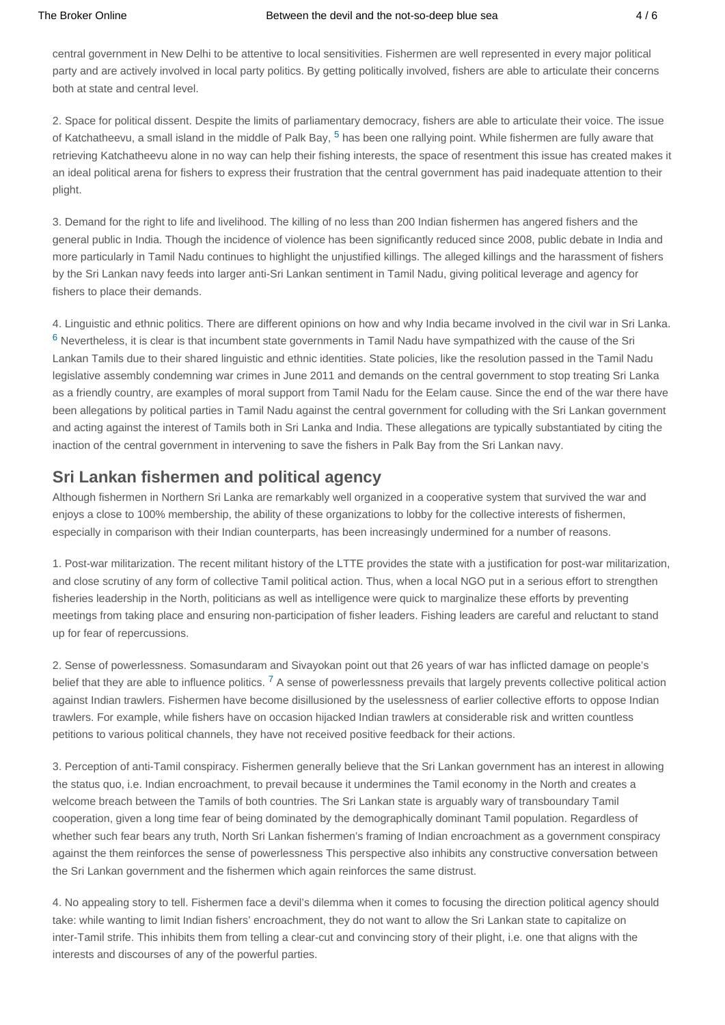central government in New Delhi to be attentive to local sensitivities. Fishermen are well represented in every major political party and are actively involved in local party politics. By getting politically involved, fishers are able to articulate their concerns both at state and central level.

2. Space for political dissent. Despite the limits of parliamentary democracy, fishers are able to articulate their voice. The issue of Katchatheevu, a small island in the middle of Palk Bay, <sup>[5](http://www.thebrokeronline.eu/#f5)</sup> has been one rallying point. While fishermen are fully aware that retrieving Katchatheevu alone in no way can help their fishing interests, the space of resentment this issue has created makes it an ideal political arena for fishers to express their frustration that the central government has paid inadequate attention to their plight.

3. Demand for the right to life and livelihood. The killing of no less than 200 Indian fishermen has angered fishers and the general public in India. Though the incidence of violence has been significantly reduced since 2008, public debate in India and more particularly in Tamil Nadu continues to highlight the unjustified killings. The alleged killings and the harassment of fishers by the Sri Lankan navy feeds into larger anti-Sri Lankan sentiment in Tamil Nadu, giving political leverage and agency for fishers to place their demands.

4. Linguistic and ethnic politics. There are different opinions on how and why India became involved in the civil war in Sri Lanka.  $6$  Nevertheless, it is clear is that incumbent state governments in Tamil Nadu have sympathized with the cause of the Sri Lankan Tamils due to their shared linguistic and ethnic identities. State policies, like the resolution passed in the Tamil Nadu legislative assembly condemning war crimes in June 2011 and demands on the central government to stop treating Sri Lanka as a friendly country, are examples of moral support from Tamil Nadu for the Eelam cause. Since the end of the war there have been allegations by political parties in Tamil Nadu against the central government for colluding with the Sri Lankan government and acting against the interest of Tamils both in Sri Lanka and India. These allegations are typically substantiated by citing the inaction of the central government in intervening to save the fishers in Palk Bay from the Sri Lankan navy.

### **Sri Lankan fishermen and political agency**

Although fishermen in Northern Sri Lanka are remarkably well organized in a cooperative system that survived the war and enjoys a close to 100% membership, the ability of these organizations to lobby for the collective interests of fishermen, especially in comparison with their Indian counterparts, has been increasingly undermined for a number of reasons.

1. Post-war militarization. The recent militant history of the LTTE provides the state with a justification for post-war militarization, and close scrutiny of any form of collective Tamil political action. Thus, when a local NGO put in a serious effort to strengthen fisheries leadership in the North, politicians as well as intelligence were quick to marginalize these efforts by preventing meetings from taking place and ensuring non-participation of fisher leaders. Fishing leaders are careful and reluctant to stand up for fear of repercussions.

2. Sense of powerlessness. Somasundaram and Sivayokan point out that 26 years of war has inflicted damage on people's belief that they are able to influence politics. <sup>[7](http://www.thebrokeronline.eu/#f7)</sup> A sense of powerlessness prevails that largely prevents collective political action against Indian trawlers. Fishermen have become disillusioned by the uselessness of earlier collective efforts to oppose Indian trawlers. For example, while fishers have on occasion hijacked Indian trawlers at considerable risk and written countless petitions to various political channels, they have not received positive feedback for their actions.

3. Perception of anti-Tamil conspiracy. Fishermen generally believe that the Sri Lankan government has an interest in allowing the status quo, i.e. Indian encroachment, to prevail because it undermines the Tamil economy in the North and creates a welcome breach between the Tamils of both countries. The Sri Lankan state is arguably wary of transboundary Tamil cooperation, given a long time fear of being dominated by the demographically dominant Tamil population. Regardless of whether such fear bears any truth, North Sri Lankan fishermen's framing of Indian encroachment as a government conspiracy against the them reinforces the sense of powerlessness This perspective also inhibits any constructive conversation between the Sri Lankan government and the fishermen which again reinforces the same distrust.

4. No appealing story to tell. Fishermen face a devil's dilemma when it comes to focusing the direction political agency should take: while wanting to limit Indian fishers' encroachment, they do not want to allow the Sri Lankan state to capitalize on inter-Tamil strife. This inhibits them from telling a clear-cut and convincing story of their plight, i.e. one that aligns with the interests and discourses of any of the powerful parties.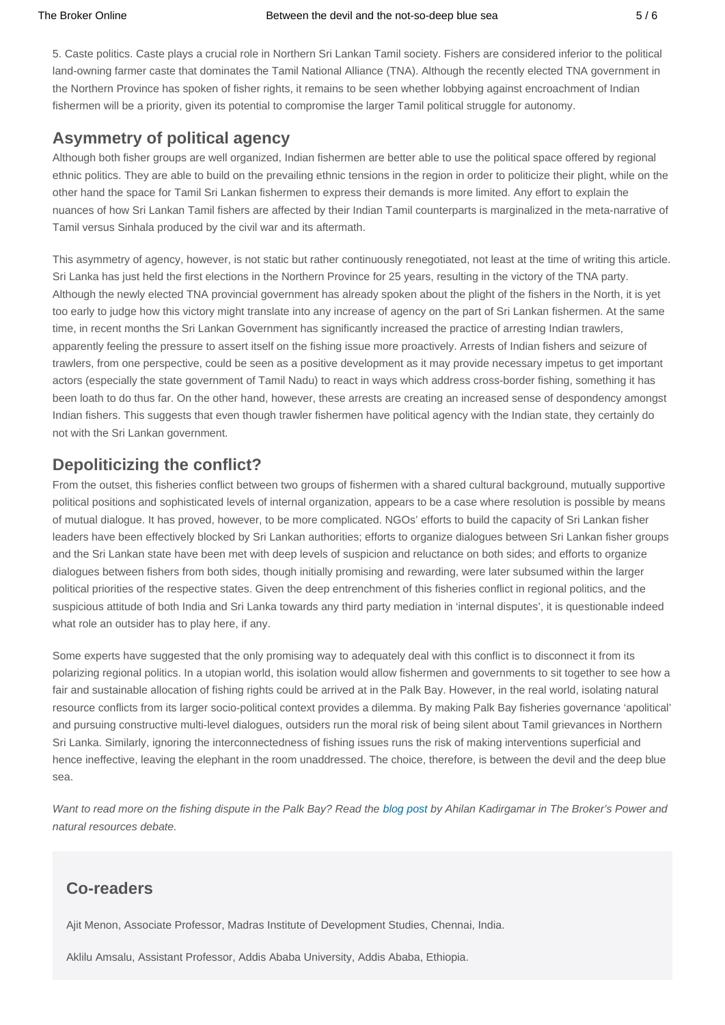5. Caste politics. Caste plays a crucial role in Northern Sri Lankan Tamil society. Fishers are considered inferior to the political land-owning farmer caste that dominates the Tamil National Alliance (TNA). Although the recently elected TNA government in the Northern Province has spoken of fisher rights, it remains to be seen whether lobbying against encroachment of Indian fishermen will be a priority, given its potential to compromise the larger Tamil political struggle for autonomy.

### **Asymmetry of political agency**

Although both fisher groups are well organized, Indian fishermen are better able to use the political space offered by regional ethnic politics. They are able to build on the prevailing ethnic tensions in the region in order to politicize their plight, while on the other hand the space for Tamil Sri Lankan fishermen to express their demands is more limited. Any effort to explain the nuances of how Sri Lankan Tamil fishers are affected by their Indian Tamil counterparts is marginalized in the meta-narrative of Tamil versus Sinhala produced by the civil war and its aftermath.

This asymmetry of agency, however, is not static but rather continuously renegotiated, not least at the time of writing this article. Sri Lanka has just held the first elections in the Northern Province for 25 years, resulting in the victory of the TNA party. Although the newly elected TNA provincial government has already spoken about the plight of the fishers in the North, it is yet too early to judge how this victory might translate into any increase of agency on the part of Sri Lankan fishermen. At the same time, in recent months the Sri Lankan Government has significantly increased the practice of arresting Indian trawlers, apparently feeling the pressure to assert itself on the fishing issue more proactively. Arrests of Indian fishers and seizure of trawlers, from one perspective, could be seen as a positive development as it may provide necessary impetus to get important actors (especially the state government of Tamil Nadu) to react in ways which address cross-border fishing, something it has been loath to do thus far. On the other hand, however, these arrests are creating an increased sense of despondency amongst Indian fishers. This suggests that even though trawler fishermen have political agency with the Indian state, they certainly do not with the Sri Lankan government.

### **Depoliticizing the conflict?**

From the outset, this fisheries conflict between two groups of fishermen with a shared cultural background, mutually supportive political positions and sophisticated levels of internal organization, appears to be a case where resolution is possible by means of mutual dialogue. It has proved, however, to be more complicated. NGOs' efforts to build the capacity of Sri Lankan fisher leaders have been effectively blocked by Sri Lankan authorities; efforts to organize dialogues between Sri Lankan fisher groups and the Sri Lankan state have been met with deep levels of suspicion and reluctance on both sides; and efforts to organize dialogues between fishers from both sides, though initially promising and rewarding, were later subsumed within the larger political priorities of the respective states. Given the deep entrenchment of this fisheries conflict in regional politics, and the suspicious attitude of both India and Sri Lanka towards any third party mediation in 'internal disputes', it is questionable indeed what role an outsider has to play here, if any.

Some experts have suggested that the only promising way to adequately deal with this conflict is to disconnect it from its polarizing regional politics. In a utopian world, this isolation would allow fishermen and governments to sit together to see how a fair and sustainable allocation of fishing rights could be arrived at in the Palk Bay. However, in the real world, isolating natural resource conflicts from its larger socio-political context provides a dilemma. By making Palk Bay fisheries governance 'apolitical' and pursuing constructive multi-level dialogues, outsiders run the moral risk of being silent about Tamil grievances in Northern Sri Lanka. Similarly, ignoring the interconnectedness of fishing issues runs the risk of making interventions superficial and hence ineffective, leaving the elephant in the room unaddressed. The choice, therefore, is between the devil and the deep blue sea.

Want to read more on the fishing dispute in the Palk Bay? Read the [blog post](http://www.thebrokeronline.eu/Blogs/Power-dynamics-and-natural-resources/State-sovereignty-and-the-market) by Ahilan Kadirgamar in The Broker's Power and natural resources debate.

### **Co-readers**

Ajit Menon, Associate Professor, Madras Institute of Development Studies, Chennai, India.

Aklilu Amsalu, Assistant Professor, Addis Ababa University, Addis Ababa, Ethiopia.